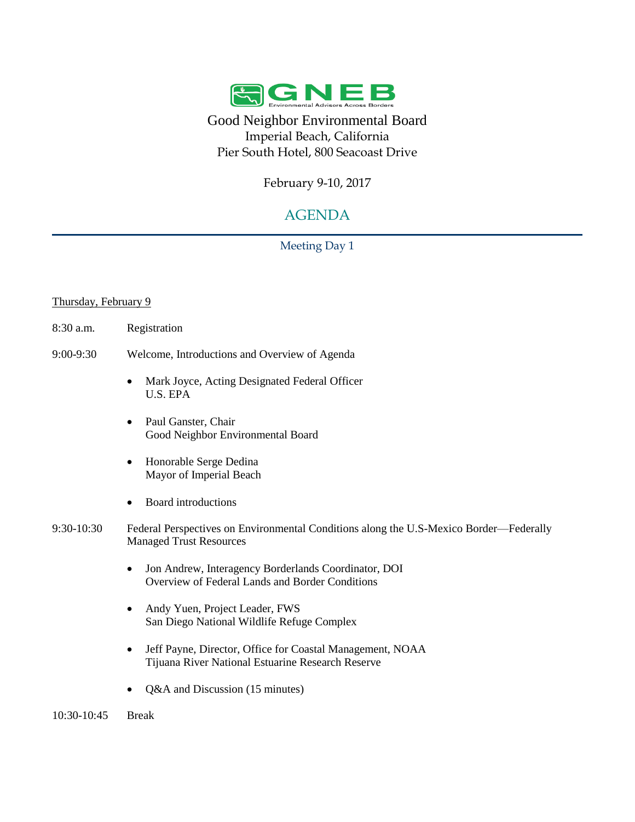

Good Neighbor Environmental Board Imperial Beach, California Pier South Hotel, 800 Seacoast Drive

February 9-10, 2017

# AGENDA

Meeting Day 1

### Thursday, February 9

- 8:30 a.m. Registration
- 9:00-9:30 Welcome, Introductions and Overview of Agenda
	- Mark Joyce, Acting Designated Federal Officer U.S. EPA
	- Paul Ganster, Chair Good Neighbor Environmental Board
	- Honorable Serge Dedina Mayor of Imperial Beach
	- Board introductions
- 9:30-10:30 Federal Perspectives on Environmental Conditions along the U.S-Mexico Border—Federally Managed Trust Resources
	- Jon Andrew, Interagency Borderlands Coordinator, DOI Overview of Federal Lands and Border Conditions
	- Andy Yuen, Project Leader, FWS San Diego National Wildlife Refuge Complex
	- Jeff Payne, Director, Office for Coastal Management, NOAA Tijuana River National Estuarine Research Reserve
	- Q&A and Discussion (15 minutes)

10:30-10:45 Break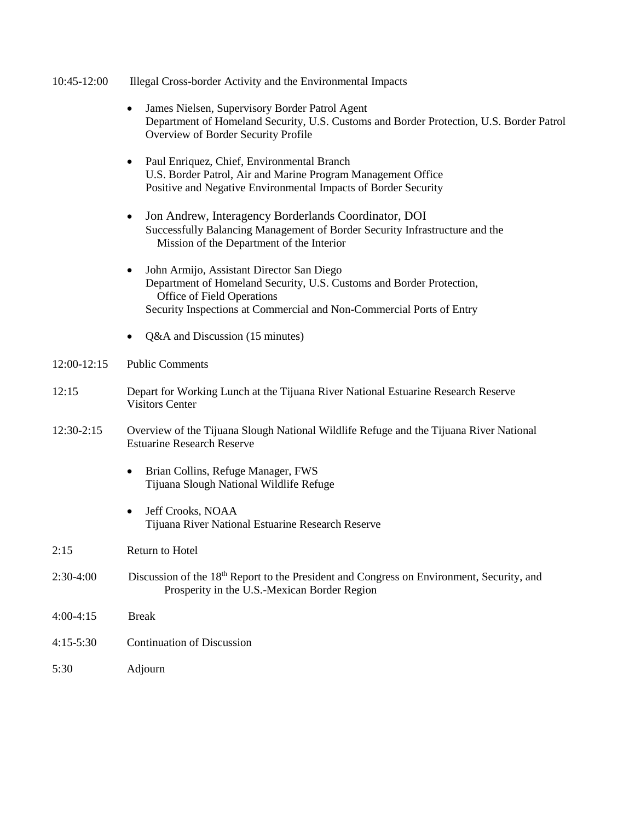#### 10:45-12:00 Illegal Cross-border Activity and the Environmental Impacts

- James Nielsen, Supervisory Border Patrol Agent Department of Homeland Security, U.S. Customs and Border Protection, U.S. Border Patrol Overview of Border Security Profile
- Paul Enriquez, Chief, Environmental Branch U.S. Border Patrol, Air and Marine Program Management Office Positive and Negative Environmental Impacts of Border Security
- Jon Andrew, Interagency Borderlands Coordinator, DOI Successfully Balancing Management of Border Security Infrastructure and the Mission of the Department of the Interior
- John Armijo, Assistant Director San Diego Department of Homeland Security, U.S. Customs and Border Protection, Office of Field Operations Security Inspections at Commercial and Non-Commercial Ports of Entry
- Q&A and Discussion (15 minutes)

#### 12:00-12:15 Public Comments

- 12:15 Depart for Working Lunch at the Tijuana River National Estuarine Research Reserve Visitors Center
- 12:30-2:15 Overview of the Tijuana Slough National Wildlife Refuge and the Tijuana River National Estuarine Research Reserve
	- Brian Collins, Refuge Manager, FWS Tijuana Slough National Wildlife Refuge
	- Jeff Crooks, NOAA Tijuana River National Estuarine Research Reserve

- 2:30-4:00 Discussion of the 18<sup>th</sup> Report to the President and Congress on Environment, Security, and Prosperity in the U.S.-Mexican Border Region
- 4:00-4:15 Break
- 4:15-5:30 Continuation of Discussion
- 5:30 Adjourn